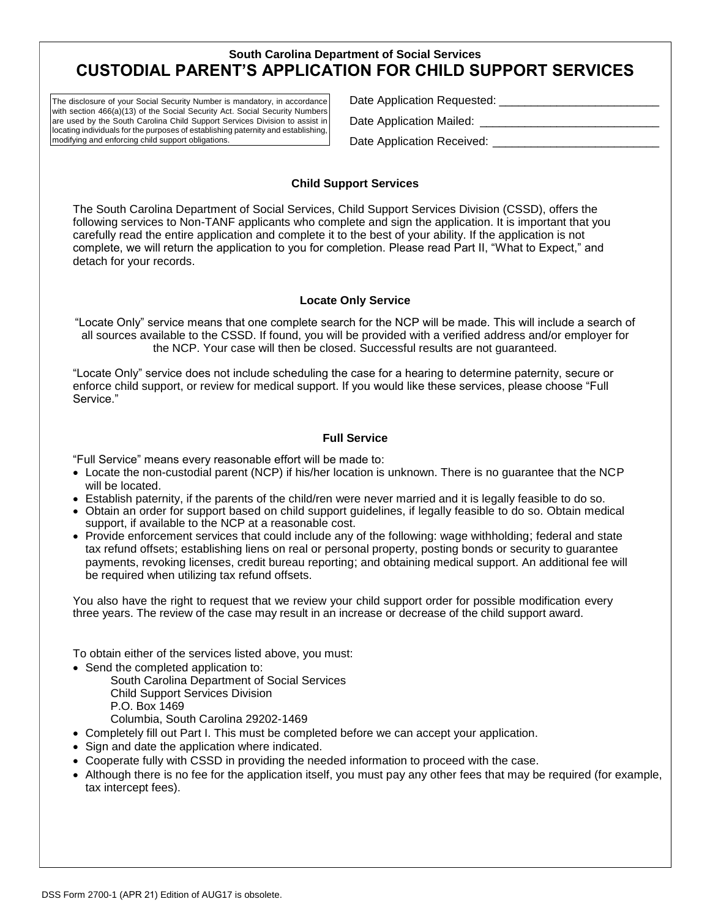# **South Carolina Department of Social Services CUSTODIAL PARENT'S APPLICATION FOR CHILD SUPPORT SERVICES**

The disclosure of your Social Security Number is mandatory, in accordance with section 466(a)(13) of the Social Security Act. Social Security Numbers are used by the South Carolina Child Support Services Division to assist in locating individuals for the purposes of establishing paternity and establishing, modifying and enforcing child support obligations.

Date Application Requested: \_\_\_\_\_\_\_\_\_\_\_\_\_\_\_\_\_\_\_\_\_\_\_\_\_

Date Application Mailed: \_\_\_\_\_\_

Date Application Received:

#### **Child Support Services**

The South Carolina Department of Social Services, Child Support Services Division (CSSD), offers the following services to Non-TANF applicants who complete and sign the application. It is important that you carefully read the entire application and complete it to the best of your ability. If the application is not complete, we will return the application to you for completion. Please read Part II, "What to Expect," and detach for your records.

### **Locate Only Service**

"Locate Only" service means that one complete search for the NCP will be made. This will include a search of all sources available to the CSSD. If found, you will be provided with a verified address and/or employer for the NCP. Your case will then be closed. Successful results are not guaranteed.

"Locate Only" service does not include scheduling the case for a hearing to determine paternity, secure or enforce child support, or review for medical support. If you would like these services, please choose "Full Service."

### **Full Service**

"Full Service" means every reasonable effort will be made to:

- Locate the non-custodial parent (NCP) if his/her location is unknown. There is no guarantee that the NCP will be located.
- Establish paternity, if the parents of the child/ren were never married and it is legally feasible to do so.
- Obtain an order for support based on child support guidelines, if legally feasible to do so. Obtain medical support, if available to the NCP at a reasonable cost.
- Provide enforcement services that could include any of the following: wage withholding; federal and state tax refund offsets; establishing liens on real or personal property, posting bonds or security to guarantee payments, revoking licenses, credit bureau reporting; and obtaining medical support. An additional fee will be required when utilizing tax refund offsets.

You also have the right to request that we review your child support order for possible modification every three years. The review of the case may result in an increase or decrease of the child support award.

To obtain either of the services listed above, you must:

- Send the completed application to:
	- South Carolina Department of Social Services

Child Support Services Division

P.O. Box 1469

Columbia, South Carolina 29202-1469

- Completely fill out Part I. This must be completed before we can accept your application.
- Sign and date the application where indicated.
- Cooperate fully with CSSD in providing the needed information to proceed with the case.
- Although there is no fee for the application itself, you must pay any other fees that may be required (for example, tax intercept fees).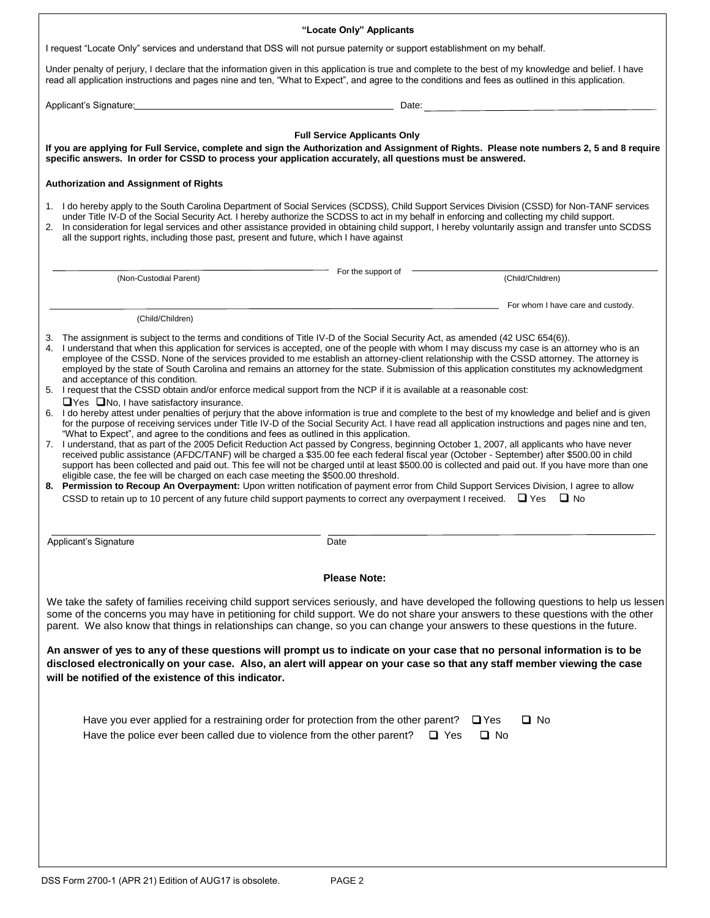| "Locate Only" Applicants                                                                                                                                                                                                                                                                                                                                                                                                                                                                                                                                                                                                                                                                                                                                                                                                                                                                                                                                                                                                                                                                                                                                                                                                                                                                                                                                                                                                                                                                                        |
|-----------------------------------------------------------------------------------------------------------------------------------------------------------------------------------------------------------------------------------------------------------------------------------------------------------------------------------------------------------------------------------------------------------------------------------------------------------------------------------------------------------------------------------------------------------------------------------------------------------------------------------------------------------------------------------------------------------------------------------------------------------------------------------------------------------------------------------------------------------------------------------------------------------------------------------------------------------------------------------------------------------------------------------------------------------------------------------------------------------------------------------------------------------------------------------------------------------------------------------------------------------------------------------------------------------------------------------------------------------------------------------------------------------------------------------------------------------------------------------------------------------------|
| I request "Locate Only" services and understand that DSS will not pursue paternity or support establishment on my behalf.                                                                                                                                                                                                                                                                                                                                                                                                                                                                                                                                                                                                                                                                                                                                                                                                                                                                                                                                                                                                                                                                                                                                                                                                                                                                                                                                                                                       |
| Under penalty of perjury, I declare that the information given in this application is true and complete to the best of my knowledge and belief. I have<br>read all application instructions and pages nine and ten, "What to Expect", and agree to the conditions and fees as outlined in this application.                                                                                                                                                                                                                                                                                                                                                                                                                                                                                                                                                                                                                                                                                                                                                                                                                                                                                                                                                                                                                                                                                                                                                                                                     |
| Applicant's Signature: New York Contract the Contract of the Contract of Contract of Contract of Contract of Contract of Contract of Contract of Contract of Contract of Contract of Contract of Contract of Contract of Contr                                                                                                                                                                                                                                                                                                                                                                                                                                                                                                                                                                                                                                                                                                                                                                                                                                                                                                                                                                                                                                                                                                                                                                                                                                                                                  |
|                                                                                                                                                                                                                                                                                                                                                                                                                                                                                                                                                                                                                                                                                                                                                                                                                                                                                                                                                                                                                                                                                                                                                                                                                                                                                                                                                                                                                                                                                                                 |
| <b>Full Service Applicants Only</b><br>If you are applying for Full Service, complete and sign the Authorization and Assignment of Rights. Please note numbers 2, 5 and 8 require<br>specific answers. In order for CSSD to process your application accurately, all questions must be answered.                                                                                                                                                                                                                                                                                                                                                                                                                                                                                                                                                                                                                                                                                                                                                                                                                                                                                                                                                                                                                                                                                                                                                                                                                |
| <b>Authorization and Assignment of Rights</b>                                                                                                                                                                                                                                                                                                                                                                                                                                                                                                                                                                                                                                                                                                                                                                                                                                                                                                                                                                                                                                                                                                                                                                                                                                                                                                                                                                                                                                                                   |
| 1. I do hereby apply to the South Carolina Department of Social Services (SCDSS), Child Support Services Division (CSSD) for Non-TANF services<br>under Title IV-D of the Social Security Act. I hereby authorize the SCDSS to act in my behalf in enforcing and collecting my child support.<br>2. In consideration for legal services and other assistance provided in obtaining child support, I hereby voluntarily assign and transfer unto SCDSS<br>all the support rights, including those past, present and future, which I have against                                                                                                                                                                                                                                                                                                                                                                                                                                                                                                                                                                                                                                                                                                                                                                                                                                                                                                                                                                 |
| For the support of                                                                                                                                                                                                                                                                                                                                                                                                                                                                                                                                                                                                                                                                                                                                                                                                                                                                                                                                                                                                                                                                                                                                                                                                                                                                                                                                                                                                                                                                                              |
| (Child/Children)<br>(Non-Custodial Parent)                                                                                                                                                                                                                                                                                                                                                                                                                                                                                                                                                                                                                                                                                                                                                                                                                                                                                                                                                                                                                                                                                                                                                                                                                                                                                                                                                                                                                                                                      |
| <b>Example 2014</b> For whom I have care and custody.                                                                                                                                                                                                                                                                                                                                                                                                                                                                                                                                                                                                                                                                                                                                                                                                                                                                                                                                                                                                                                                                                                                                                                                                                                                                                                                                                                                                                                                           |
| (Child/Children)                                                                                                                                                                                                                                                                                                                                                                                                                                                                                                                                                                                                                                                                                                                                                                                                                                                                                                                                                                                                                                                                                                                                                                                                                                                                                                                                                                                                                                                                                                |
| 3. The assignment is subject to the terms and conditions of Title IV-D of the Social Security Act, as amended (42 USC 654(6)).<br>4. I understand that when this application for services is accepted, one of the people with whom I may discuss my case is an attorney who is an<br>employee of the CSSD. None of the services provided to me establish an attorney-client relationship with the CSSD attorney. The attorney is<br>employed by the state of South Carolina and remains an attorney for the state. Submission of this application constitutes my acknowledgment<br>and acceptance of this condition.<br>5. I request that the CSSD obtain and/or enforce medical support from the NCP if it is available at a reasonable cost:<br>$\Box$ Yes $\Box$ No, I have satisfactory insurance.<br>6. I do hereby attest under penalties of perjury that the above information is true and complete to the best of my knowledge and belief and is given<br>for the purpose of receiving services under Title IV-D of the Social Security Act. I have read all application instructions and pages nine and ten,<br>"What to Expect", and agree to the conditions and fees as outlined in this application.<br>7. I understand, that as part of the 2005 Deficit Reduction Act passed by Congress, beginning October 1, 2007, all applicants who have never<br>received public assistance (AFDC/TANF) will be charged a \$35.00 fee each federal fiscal year (October - September) after \$500.00 in child |
| support has been collected and paid out. This fee will not be charged until at least \$500.00 is collected and paid out. If you have more than one<br>eligible case, the fee will be charged on each case meeting the \$500.00 threshold.<br>8. Permission to Recoup An Overpayment: Upon written notification of payment error from Child Support Services Division, I agree to allow<br>CSSD to retain up to 10 percent of any future child support payments to correct any overpayment I received. $\Box$ Yes $\Box$ No                                                                                                                                                                                                                                                                                                                                                                                                                                                                                                                                                                                                                                                                                                                                                                                                                                                                                                                                                                                      |
| Applicant's Signature<br>Date                                                                                                                                                                                                                                                                                                                                                                                                                                                                                                                                                                                                                                                                                                                                                                                                                                                                                                                                                                                                                                                                                                                                                                                                                                                                                                                                                                                                                                                                                   |
|                                                                                                                                                                                                                                                                                                                                                                                                                                                                                                                                                                                                                                                                                                                                                                                                                                                                                                                                                                                                                                                                                                                                                                                                                                                                                                                                                                                                                                                                                                                 |
| <b>Please Note:</b>                                                                                                                                                                                                                                                                                                                                                                                                                                                                                                                                                                                                                                                                                                                                                                                                                                                                                                                                                                                                                                                                                                                                                                                                                                                                                                                                                                                                                                                                                             |
| We take the safety of families receiving child support services seriously, and have developed the following questions to help us lessen<br>some of the concerns you may have in petitioning for child support. We do not share your answers to these questions with the other<br>parent. We also know that things in relationships can change, so you can change your answers to these questions in the future.                                                                                                                                                                                                                                                                                                                                                                                                                                                                                                                                                                                                                                                                                                                                                                                                                                                                                                                                                                                                                                                                                                 |
| An answer of yes to any of these questions will prompt us to indicate on your case that no personal information is to be<br>disclosed electronically on your case. Also, an alert will appear on your case so that any staff member viewing the case<br>will be notified of the existence of this indicator.                                                                                                                                                                                                                                                                                                                                                                                                                                                                                                                                                                                                                                                                                                                                                                                                                                                                                                                                                                                                                                                                                                                                                                                                    |
| ⊔ No<br>Have you ever applied for a restraining order for protection from the other parent?<br>$\sqcup$ Yes<br>$\Box$ No<br>Have the police ever been called due to violence from the other parent?<br>$\Box$ Yes                                                                                                                                                                                                                                                                                                                                                                                                                                                                                                                                                                                                                                                                                                                                                                                                                                                                                                                                                                                                                                                                                                                                                                                                                                                                                               |
|                                                                                                                                                                                                                                                                                                                                                                                                                                                                                                                                                                                                                                                                                                                                                                                                                                                                                                                                                                                                                                                                                                                                                                                                                                                                                                                                                                                                                                                                                                                 |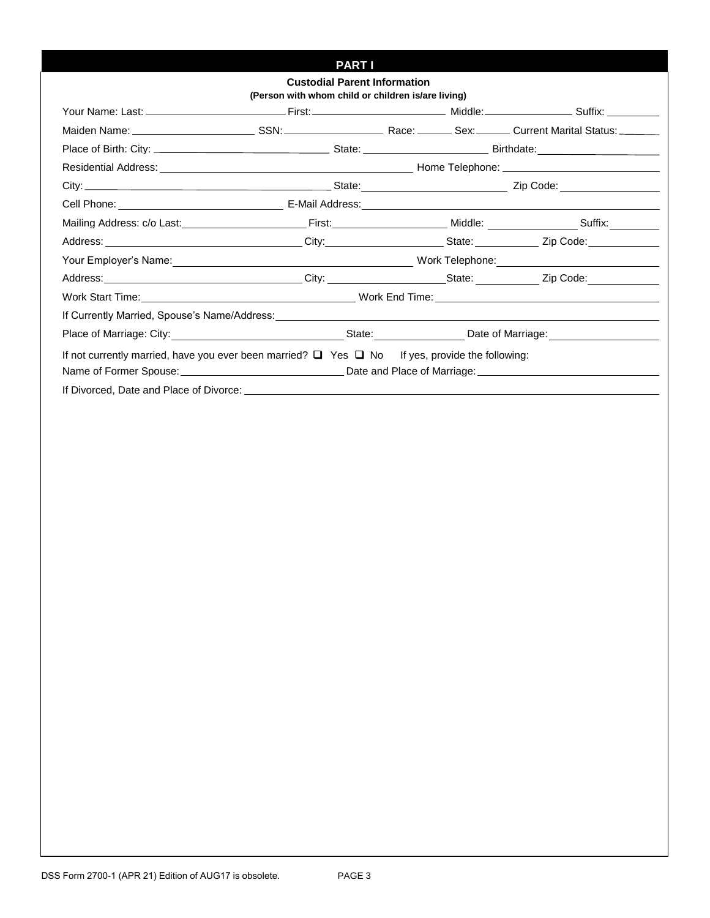## **PART I**

| <b>Custodial Parent Information</b><br>(Person with whom child or children is/are living)                                                                                                                                                                       |  |  |  |
|-----------------------------------------------------------------------------------------------------------------------------------------------------------------------------------------------------------------------------------------------------------------|--|--|--|
|                                                                                                                                                                                                                                                                 |  |  |  |
|                                                                                                                                                                                                                                                                 |  |  |  |
|                                                                                                                                                                                                                                                                 |  |  |  |
|                                                                                                                                                                                                                                                                 |  |  |  |
|                                                                                                                                                                                                                                                                 |  |  |  |
|                                                                                                                                                                                                                                                                 |  |  |  |
|                                                                                                                                                                                                                                                                 |  |  |  |
|                                                                                                                                                                                                                                                                 |  |  |  |
|                                                                                                                                                                                                                                                                 |  |  |  |
|                                                                                                                                                                                                                                                                 |  |  |  |
|                                                                                                                                                                                                                                                                 |  |  |  |
|                                                                                                                                                                                                                                                                 |  |  |  |
|                                                                                                                                                                                                                                                                 |  |  |  |
| If not currently married, have you ever been married? $\Box$ Yes $\Box$ No If yes, provide the following:<br>Name of Former Spouse: <u>example and the set of the set of the set of Marriage:</u> example and Place of Marriage: example and Place of Marriage: |  |  |  |
|                                                                                                                                                                                                                                                                 |  |  |  |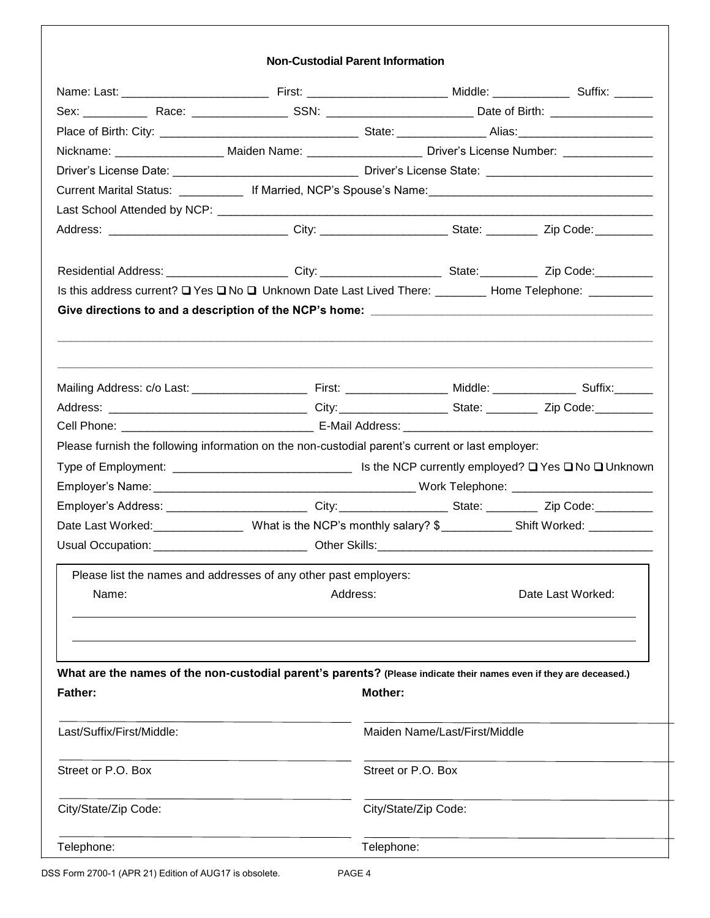#### **Non-Custodial Parent Information**

|                           |                                                                                                                    |                               | Nickname: ____________________ Maiden Name: _____________________ Driver's License Number: _______________                     |  |  |  |
|---------------------------|--------------------------------------------------------------------------------------------------------------------|-------------------------------|--------------------------------------------------------------------------------------------------------------------------------|--|--|--|
|                           |                                                                                                                    |                               |                                                                                                                                |  |  |  |
|                           |                                                                                                                    |                               |                                                                                                                                |  |  |  |
|                           |                                                                                                                    |                               |                                                                                                                                |  |  |  |
|                           |                                                                                                                    |                               |                                                                                                                                |  |  |  |
|                           |                                                                                                                    |                               |                                                                                                                                |  |  |  |
|                           |                                                                                                                    |                               |                                                                                                                                |  |  |  |
|                           |                                                                                                                    |                               | Is this address current? Q Yes Q No Q Unknown Date Last Lived There: _________ Home Telephone: __________                      |  |  |  |
|                           |                                                                                                                    |                               |                                                                                                                                |  |  |  |
|                           |                                                                                                                    |                               |                                                                                                                                |  |  |  |
|                           |                                                                                                                    |                               |                                                                                                                                |  |  |  |
|                           |                                                                                                                    |                               |                                                                                                                                |  |  |  |
|                           | Please furnish the following information on the non-custodial parent's current or last employer:                   |                               |                                                                                                                                |  |  |  |
|                           |                                                                                                                    |                               |                                                                                                                                |  |  |  |
|                           |                                                                                                                    |                               | Employer's Address: _______________________________City:_______________________State: _____________Zip Code:__________________ |  |  |  |
|                           |                                                                                                                    |                               | Date Last Worked: _______________________What is the NCP's monthly salary? \$____________Shift Worked: __________              |  |  |  |
|                           |                                                                                                                    |                               |                                                                                                                                |  |  |  |
|                           | Please list the names and addresses of any other past employers:                                                   |                               |                                                                                                                                |  |  |  |
| Name:                     | Address:                                                                                                           |                               | Date Last Worked:                                                                                                              |  |  |  |
|                           |                                                                                                                    |                               |                                                                                                                                |  |  |  |
| <b>Father:</b>            | What are the names of the non-custodial parent's parents? (Please indicate their names even if they are deceased.) | <b>Mother:</b>                |                                                                                                                                |  |  |  |
| Last/Suffix/First/Middle: |                                                                                                                    | Maiden Name/Last/First/Middle |                                                                                                                                |  |  |  |
| Street or P.O. Box        |                                                                                                                    | Street or P.O. Box            |                                                                                                                                |  |  |  |
| City/State/Zip Code:      |                                                                                                                    | City/State/Zip Code:          |                                                                                                                                |  |  |  |
| Telephone:                |                                                                                                                    | Telephone:                    |                                                                                                                                |  |  |  |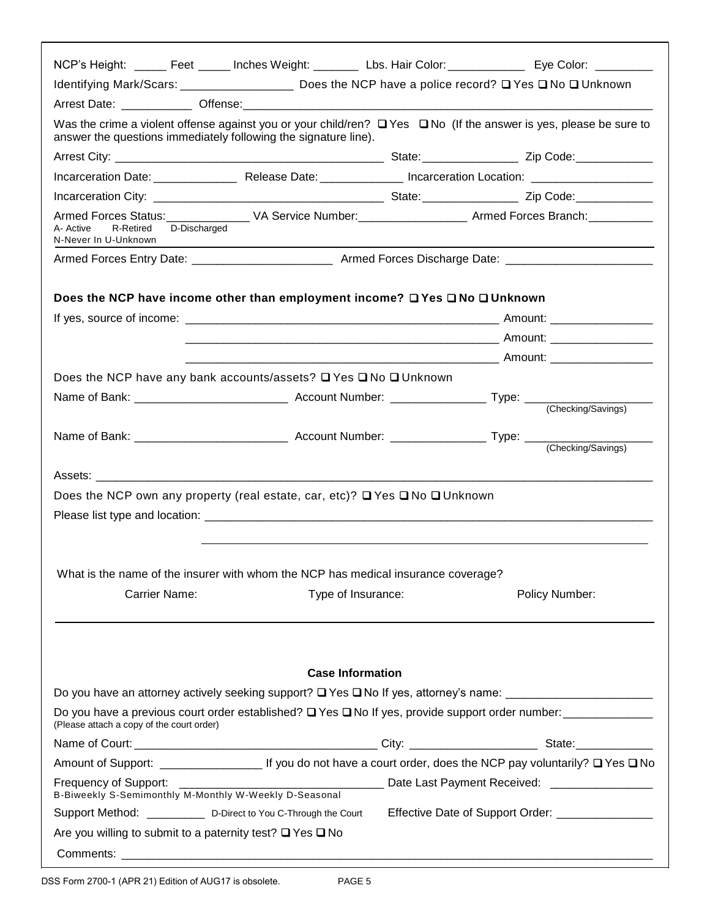|                                                                                                    |                         | NCP's Height: ______ Feet _____ Inches Weight: ________ Lbs. Hair Color: ____________ Eye Color: _________                   |
|----------------------------------------------------------------------------------------------------|-------------------------|------------------------------------------------------------------------------------------------------------------------------|
|                                                                                                    |                         | Identifying Mark/Scars: ___________________ Does the NCP have a police record? Q Yes Q No Q Unknown                          |
|                                                                                                    |                         |                                                                                                                              |
| answer the questions immediately following the signature line).                                    |                         | Was the crime a violent offense against you or your child/ren? $\Box$ Yes $\Box$ No (If the answer is yes, please be sure to |
|                                                                                                    |                         |                                                                                                                              |
|                                                                                                    |                         |                                                                                                                              |
|                                                                                                    |                         |                                                                                                                              |
| R-Retired D-Discharged<br>A- Active<br>N-Never In U-Unknown                                        |                         |                                                                                                                              |
|                                                                                                    |                         |                                                                                                                              |
| Does the NCP have income other than employment income? □ Yes □ No □ Unknown                        |                         |                                                                                                                              |
|                                                                                                    |                         |                                                                                                                              |
| Does the NCP have any bank accounts/assets? □ Yes □ No □ Unknown                                   |                         |                                                                                                                              |
|                                                                                                    |                         |                                                                                                                              |
|                                                                                                    |                         |                                                                                                                              |
|                                                                                                    |                         |                                                                                                                              |
| Does the NCP own any property (real estate, car, etc)? □ Yes □ No □ Unknown                        |                         |                                                                                                                              |
|                                                                                                    |                         |                                                                                                                              |
| What is the name of the insurer with whom the NCP has medical insurance coverage?<br>Carrier Name: | Type of Insurance:      | Policy Number:                                                                                                               |
|                                                                                                    | <b>Case Information</b> |                                                                                                                              |
|                                                                                                    |                         |                                                                                                                              |
| (Please attach a copy of the court order)                                                          |                         | Do you have a previous court order established? $\square$ Yes $\square$ No If yes, provide support order number:             |
|                                                                                                    |                         |                                                                                                                              |
|                                                                                                    |                         |                                                                                                                              |
|                                                                                                    |                         |                                                                                                                              |
| Support Method: _____________ D-Direct to You C-Through the Court                                  |                         | Effective Date of Support Order: _______________                                                                             |
| Are you willing to submit to a paternity test? $\Box$ Yes $\Box$ No                                |                         |                                                                                                                              |
|                                                                                                    |                         |                                                                                                                              |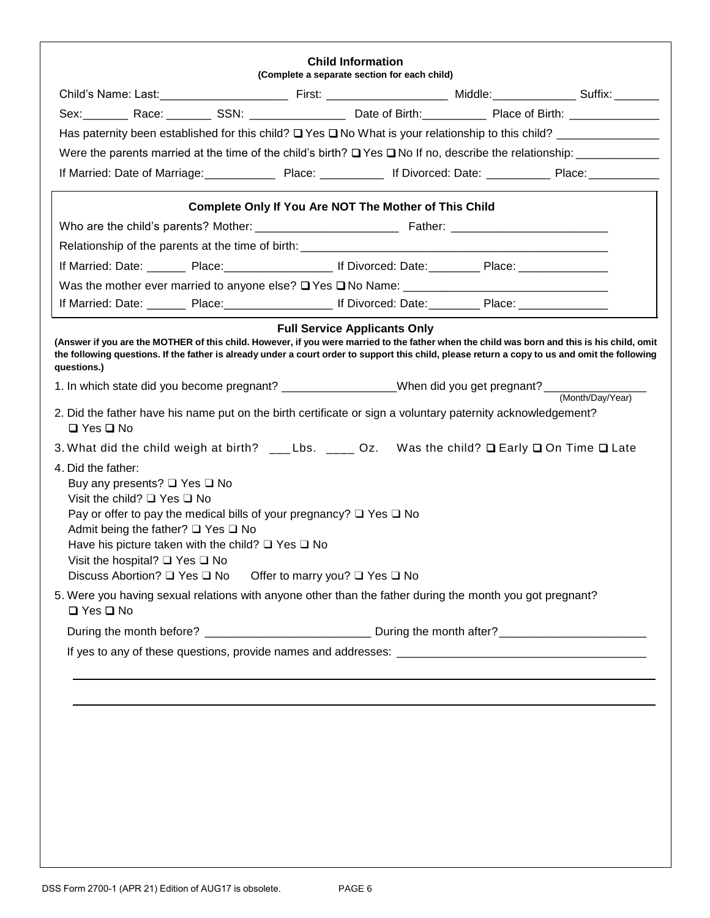| Sex: Race: SSN: Sex: Date of Birth: Place of Birth: Community Place of Birth:<br><b>Complete Only If You Are NOT The Mother of This Child</b><br>If Married: Date: _______ Place: ___________________ If Divorced: Date: ________ Place: ________________<br>If Married: Date: ________ Place: ______________________ If Divorced: Date: __________ Place: _______________<br><b>Full Service Applicants Only</b><br>(Answer if you are the MOTHER of this child. However, if you were married to the father when the child was born and this is his child, omit<br>the following questions. If the father is already under a court order to support this child, please return a copy to us and omit the following<br>(Month/Day/Year)<br>2. Did the father have his name put on the birth certificate or sign a voluntary paternity acknowledgement?<br>$\Box$ Yes $\Box$ No<br>3. What did the child weigh at birth? ___Lbs. ____ Oz. Was the child? Q Early Q On Time Q Late<br>Buy any presents? □ Yes □ No<br>Visit the child? $\Box$ Yes $\Box$ No<br>Pay or offer to pay the medical bills of your pregnancy? $\Box$ Yes $\Box$ No<br>Admit being the father? $\Box$ Yes $\Box$ No<br>Have his picture taken with the child? $\Box$ Yes $\Box$ No<br>Visit the hospital? $\Box$ Yes $\Box$ No<br>Discuss Abortion? □ Yes □ No   Offer to marry you? □ Yes □ No<br>5. Were you having sexual relations with anyone other than the father during the month you got pregnant?<br>$\Box$ Yes $\Box$ No | questions.)<br>1. In which state did you become pregnant? __________________When did you get pregnant? ______<br>4. Did the father: |  |
|-----------------------------------------------------------------------------------------------------------------------------------------------------------------------------------------------------------------------------------------------------------------------------------------------------------------------------------------------------------------------------------------------------------------------------------------------------------------------------------------------------------------------------------------------------------------------------------------------------------------------------------------------------------------------------------------------------------------------------------------------------------------------------------------------------------------------------------------------------------------------------------------------------------------------------------------------------------------------------------------------------------------------------------------------------------------------------------------------------------------------------------------------------------------------------------------------------------------------------------------------------------------------------------------------------------------------------------------------------------------------------------------------------------------------------------------------------------------------------------------------------------|-------------------------------------------------------------------------------------------------------------------------------------|--|
|                                                                                                                                                                                                                                                                                                                                                                                                                                                                                                                                                                                                                                                                                                                                                                                                                                                                                                                                                                                                                                                                                                                                                                                                                                                                                                                                                                                                                                                                                                           |                                                                                                                                     |  |
|                                                                                                                                                                                                                                                                                                                                                                                                                                                                                                                                                                                                                                                                                                                                                                                                                                                                                                                                                                                                                                                                                                                                                                                                                                                                                                                                                                                                                                                                                                           |                                                                                                                                     |  |
|                                                                                                                                                                                                                                                                                                                                                                                                                                                                                                                                                                                                                                                                                                                                                                                                                                                                                                                                                                                                                                                                                                                                                                                                                                                                                                                                                                                                                                                                                                           |                                                                                                                                     |  |
|                                                                                                                                                                                                                                                                                                                                                                                                                                                                                                                                                                                                                                                                                                                                                                                                                                                                                                                                                                                                                                                                                                                                                                                                                                                                                                                                                                                                                                                                                                           |                                                                                                                                     |  |
|                                                                                                                                                                                                                                                                                                                                                                                                                                                                                                                                                                                                                                                                                                                                                                                                                                                                                                                                                                                                                                                                                                                                                                                                                                                                                                                                                                                                                                                                                                           |                                                                                                                                     |  |
|                                                                                                                                                                                                                                                                                                                                                                                                                                                                                                                                                                                                                                                                                                                                                                                                                                                                                                                                                                                                                                                                                                                                                                                                                                                                                                                                                                                                                                                                                                           |                                                                                                                                     |  |
|                                                                                                                                                                                                                                                                                                                                                                                                                                                                                                                                                                                                                                                                                                                                                                                                                                                                                                                                                                                                                                                                                                                                                                                                                                                                                                                                                                                                                                                                                                           |                                                                                                                                     |  |
|                                                                                                                                                                                                                                                                                                                                                                                                                                                                                                                                                                                                                                                                                                                                                                                                                                                                                                                                                                                                                                                                                                                                                                                                                                                                                                                                                                                                                                                                                                           |                                                                                                                                     |  |
|                                                                                                                                                                                                                                                                                                                                                                                                                                                                                                                                                                                                                                                                                                                                                                                                                                                                                                                                                                                                                                                                                                                                                                                                                                                                                                                                                                                                                                                                                                           |                                                                                                                                     |  |
|                                                                                                                                                                                                                                                                                                                                                                                                                                                                                                                                                                                                                                                                                                                                                                                                                                                                                                                                                                                                                                                                                                                                                                                                                                                                                                                                                                                                                                                                                                           |                                                                                                                                     |  |
|                                                                                                                                                                                                                                                                                                                                                                                                                                                                                                                                                                                                                                                                                                                                                                                                                                                                                                                                                                                                                                                                                                                                                                                                                                                                                                                                                                                                                                                                                                           |                                                                                                                                     |  |
|                                                                                                                                                                                                                                                                                                                                                                                                                                                                                                                                                                                                                                                                                                                                                                                                                                                                                                                                                                                                                                                                                                                                                                                                                                                                                                                                                                                                                                                                                                           |                                                                                                                                     |  |
|                                                                                                                                                                                                                                                                                                                                                                                                                                                                                                                                                                                                                                                                                                                                                                                                                                                                                                                                                                                                                                                                                                                                                                                                                                                                                                                                                                                                                                                                                                           |                                                                                                                                     |  |
|                                                                                                                                                                                                                                                                                                                                                                                                                                                                                                                                                                                                                                                                                                                                                                                                                                                                                                                                                                                                                                                                                                                                                                                                                                                                                                                                                                                                                                                                                                           |                                                                                                                                     |  |
|                                                                                                                                                                                                                                                                                                                                                                                                                                                                                                                                                                                                                                                                                                                                                                                                                                                                                                                                                                                                                                                                                                                                                                                                                                                                                                                                                                                                                                                                                                           |                                                                                                                                     |  |
|                                                                                                                                                                                                                                                                                                                                                                                                                                                                                                                                                                                                                                                                                                                                                                                                                                                                                                                                                                                                                                                                                                                                                                                                                                                                                                                                                                                                                                                                                                           |                                                                                                                                     |  |
|                                                                                                                                                                                                                                                                                                                                                                                                                                                                                                                                                                                                                                                                                                                                                                                                                                                                                                                                                                                                                                                                                                                                                                                                                                                                                                                                                                                                                                                                                                           |                                                                                                                                     |  |
|                                                                                                                                                                                                                                                                                                                                                                                                                                                                                                                                                                                                                                                                                                                                                                                                                                                                                                                                                                                                                                                                                                                                                                                                                                                                                                                                                                                                                                                                                                           |                                                                                                                                     |  |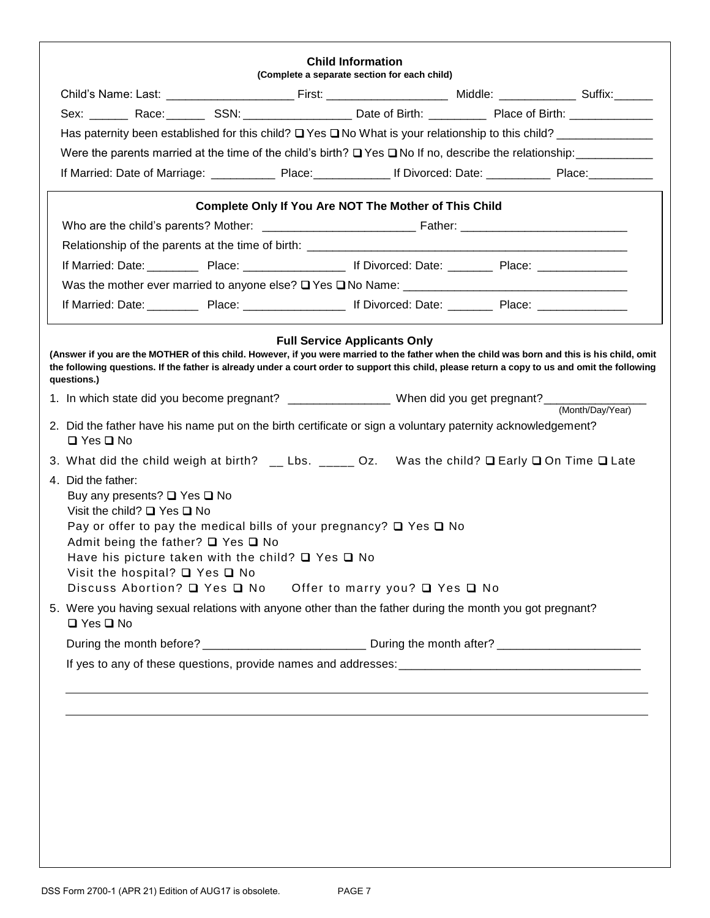| Were the parents married at the time of the child's birth? Q Yes Q No If no, describe the relationship: ______________                                                                                                                                                                                       |                                                              |  |
|--------------------------------------------------------------------------------------------------------------------------------------------------------------------------------------------------------------------------------------------------------------------------------------------------------------|--------------------------------------------------------------|--|
|                                                                                                                                                                                                                                                                                                              |                                                              |  |
|                                                                                                                                                                                                                                                                                                              |                                                              |  |
|                                                                                                                                                                                                                                                                                                              |                                                              |  |
|                                                                                                                                                                                                                                                                                                              |                                                              |  |
|                                                                                                                                                                                                                                                                                                              | <b>Complete Only If You Are NOT The Mother of This Child</b> |  |
|                                                                                                                                                                                                                                                                                                              |                                                              |  |
|                                                                                                                                                                                                                                                                                                              |                                                              |  |
|                                                                                                                                                                                                                                                                                                              |                                                              |  |
|                                                                                                                                                                                                                                                                                                              |                                                              |  |
|                                                                                                                                                                                                                                                                                                              |                                                              |  |
|                                                                                                                                                                                                                                                                                                              |                                                              |  |
| (Answer if you are the MOTHER of this child. However, if you were married to the father when the child was born and this is his child, omit<br>the following questions. If the father is already under a court order to support this child, please return a copy to us and omit the following<br>questions.) |                                                              |  |
|                                                                                                                                                                                                                                                                                                              |                                                              |  |
| 2. Did the father have his name put on the birth certificate or sign a voluntary paternity acknowledgement?<br>$\Box$ Yes $\Box$ No                                                                                                                                                                          |                                                              |  |
| 3. What did the child weigh at birth? __ Lbs. _____ Oz. Was the child? Q Early Q On Time Q Late                                                                                                                                                                                                              |                                                              |  |
| 4. Did the father:                                                                                                                                                                                                                                                                                           |                                                              |  |
| Buy any presents? $\Box$ Yes $\Box$ No<br>Visit the child? $\Box$ Yes $\Box$ No                                                                                                                                                                                                                              |                                                              |  |
| Pay or offer to pay the medical bills of your pregnancy? $\Box$ Yes $\Box$ No                                                                                                                                                                                                                                |                                                              |  |
| Admit being the father? □ Yes □ No                                                                                                                                                                                                                                                                           |                                                              |  |
| Have his picture taken with the child? $\Box$ Yes $\Box$ No                                                                                                                                                                                                                                                  |                                                              |  |
| Visit the hospital? $\Box$ Yes $\Box$ No<br>Discuss Abortion? Q Yes Q No  Offer to marry you? Q Yes Q No                                                                                                                                                                                                     |                                                              |  |
| 5. Were you having sexual relations with anyone other than the father during the month you got pregnant?                                                                                                                                                                                                     |                                                              |  |
| $\Box$ Yes $\Box$ No                                                                                                                                                                                                                                                                                         |                                                              |  |
|                                                                                                                                                                                                                                                                                                              |                                                              |  |
|                                                                                                                                                                                                                                                                                                              |                                                              |  |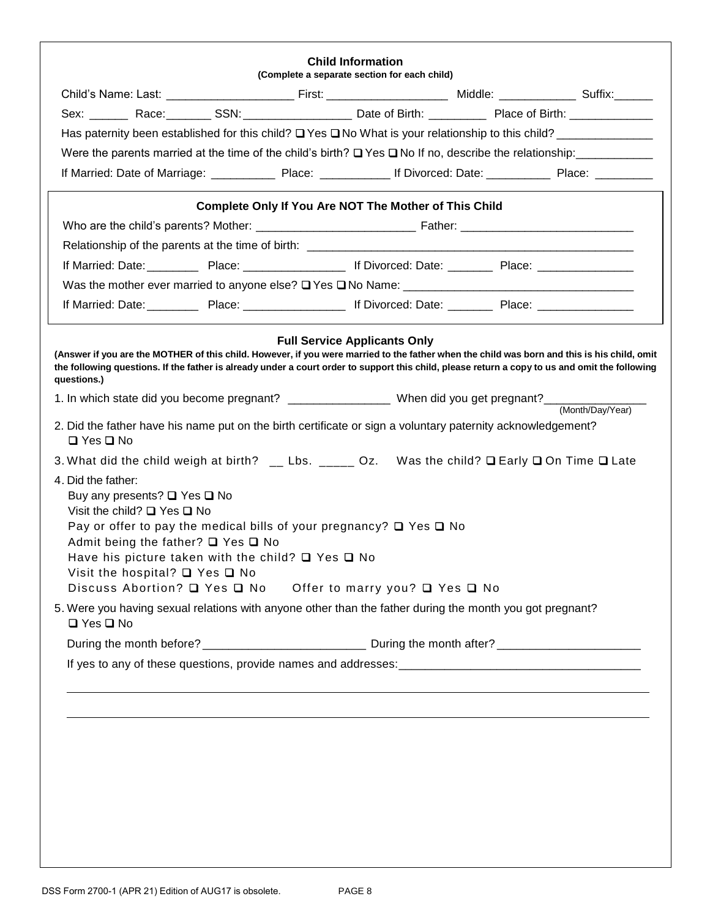|                                                                                                                                                                                                                                                                                                              | <b>Complete Only If You Are NOT The Mother of This Child</b> |  |
|--------------------------------------------------------------------------------------------------------------------------------------------------------------------------------------------------------------------------------------------------------------------------------------------------------------|--------------------------------------------------------------|--|
|                                                                                                                                                                                                                                                                                                              |                                                              |  |
|                                                                                                                                                                                                                                                                                                              |                                                              |  |
| If Married: Date: Place: Place: Place: Fig. 16 Divorced: Date: Place: Place: Place: Place: Place: Place: Place: Place: Place: Place: Place: Place: Place: Place: Place: Place: Place: Place: Place: Place: Place: Place: Place                                                                               |                                                              |  |
|                                                                                                                                                                                                                                                                                                              |                                                              |  |
| If Married: Date: ______________ Place: _________________________ If Divorced: Date: ____________ Place: ____________________                                                                                                                                                                                |                                                              |  |
|                                                                                                                                                                                                                                                                                                              |                                                              |  |
| (Answer if you are the MOTHER of this child. However, if you were married to the father when the child was born and this is his child, omit<br>the following questions. If the father is already under a court order to support this child, please return a copy to us and omit the following<br>questions.) |                                                              |  |
|                                                                                                                                                                                                                                                                                                              |                                                              |  |
| 2. Did the father have his name put on the birth certificate or sign a voluntary paternity acknowledgement?<br>$\Box$ Yes $\Box$ No                                                                                                                                                                          |                                                              |  |
| 3. What did the child weigh at birth? __ Lbs. _____ Oz. Was the child? Q Early Q On Time Q Late                                                                                                                                                                                                              |                                                              |  |
| 4. Did the father:                                                                                                                                                                                                                                                                                           |                                                              |  |
| Buy any presents? $\Box$ Yes $\Box$ No                                                                                                                                                                                                                                                                       |                                                              |  |
| Visit the child? $\Box$ Yes $\Box$ No<br>Pay or offer to pay the medical bills of your pregnancy? $\Box$ Yes $\Box$ No                                                                                                                                                                                       |                                                              |  |
| Admit being the father? $\Box$ Yes $\Box$ No                                                                                                                                                                                                                                                                 |                                                              |  |
| Have his picture taken with the child? $\Box$ Yes $\Box$ No                                                                                                                                                                                                                                                  |                                                              |  |
| Visit the hospital? $\Box$ Yes $\Box$ No<br>Discuss Abortion? Q Yes Q No  Offer to marry you? Q Yes Q No                                                                                                                                                                                                     |                                                              |  |
| 5. Were you having sexual relations with anyone other than the father during the month you got pregnant?                                                                                                                                                                                                     |                                                              |  |
| $\Box$ Yes $\Box$ No                                                                                                                                                                                                                                                                                         |                                                              |  |
|                                                                                                                                                                                                                                                                                                              |                                                              |  |
|                                                                                                                                                                                                                                                                                                              |                                                              |  |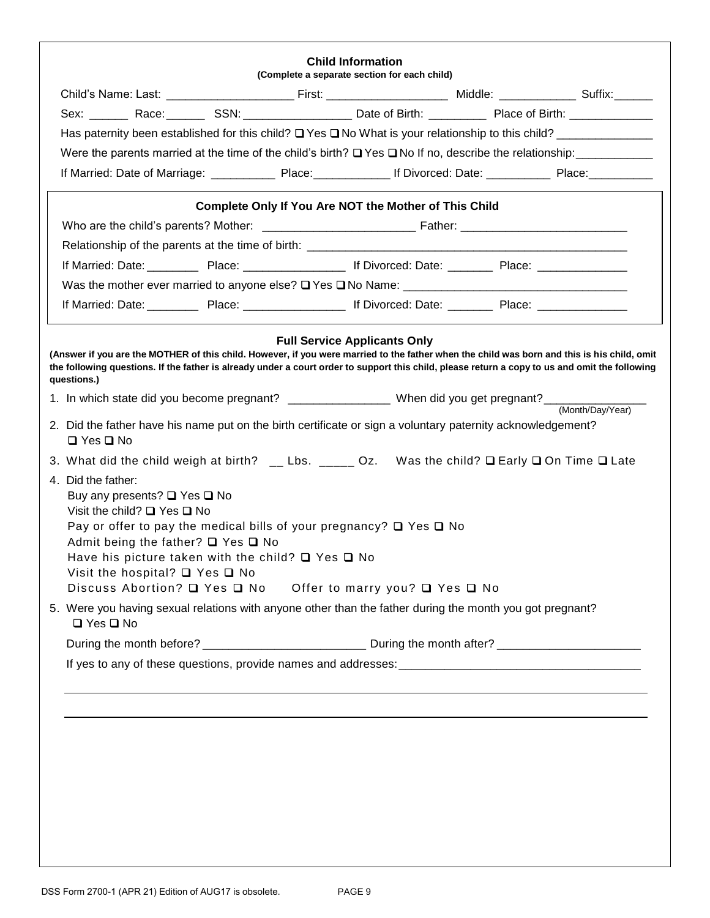|                                                                                                                                                                                                                                                                                                                                                                                                         |                                                       | <b>Child Information</b><br>(Complete a separate section for each child) |  |  |
|---------------------------------------------------------------------------------------------------------------------------------------------------------------------------------------------------------------------------------------------------------------------------------------------------------------------------------------------------------------------------------------------------------|-------------------------------------------------------|--------------------------------------------------------------------------|--|--|
|                                                                                                                                                                                                                                                                                                                                                                                                         |                                                       |                                                                          |  |  |
|                                                                                                                                                                                                                                                                                                                                                                                                         |                                                       |                                                                          |  |  |
|                                                                                                                                                                                                                                                                                                                                                                                                         |                                                       |                                                                          |  |  |
| Were the parents married at the time of the child's birth? Q Yes Q No If no, describe the relationship: ______________                                                                                                                                                                                                                                                                                  |                                                       |                                                                          |  |  |
|                                                                                                                                                                                                                                                                                                                                                                                                         |                                                       |                                                                          |  |  |
|                                                                                                                                                                                                                                                                                                                                                                                                         | Complete Only If You Are NOT the Mother of This Child |                                                                          |  |  |
|                                                                                                                                                                                                                                                                                                                                                                                                         |                                                       |                                                                          |  |  |
|                                                                                                                                                                                                                                                                                                                                                                                                         |                                                       |                                                                          |  |  |
|                                                                                                                                                                                                                                                                                                                                                                                                         |                                                       |                                                                          |  |  |
|                                                                                                                                                                                                                                                                                                                                                                                                         |                                                       |                                                                          |  |  |
|                                                                                                                                                                                                                                                                                                                                                                                                         |                                                       |                                                                          |  |  |
| (Answer if you are the MOTHER of this child. However, if you were married to the father when the child was born and this is his child, omit<br>the following questions. If the father is already under a court order to support this child, please return a copy to us and omit the following<br>questions.)                                                                                            |                                                       |                                                                          |  |  |
|                                                                                                                                                                                                                                                                                                                                                                                                         |                                                       |                                                                          |  |  |
| 2. Did the father have his name put on the birth certificate or sign a voluntary paternity acknowledgement?<br>$\Box$ Yes $\Box$ No                                                                                                                                                                                                                                                                     |                                                       |                                                                          |  |  |
| 3. What did the child weigh at birth? __ Lbs. _____ Oz. Was the child? Q Early Q On Time Q Late                                                                                                                                                                                                                                                                                                         |                                                       |                                                                          |  |  |
| 4. Did the father:<br>Buy any presents? $\Box$ Yes $\Box$ No<br>Visit the child? $\Box$ Yes $\Box$ No<br>Pay or offer to pay the medical bills of your pregnancy? $\Box$ Yes $\Box$ No<br>Admit being the father? □ Yes □ No<br>Have his picture taken with the child? $\Box$ Yes $\Box$ No<br>Visit the hospital? $\Box$ Yes $\Box$ No<br>Discuss Abortion? Q Yes Q No  Offer to marry you? Q Yes Q No |                                                       |                                                                          |  |  |
| 5. Were you having sexual relations with anyone other than the father during the month you got pregnant?<br>□ Yes □ No                                                                                                                                                                                                                                                                                  |                                                       |                                                                          |  |  |
| During the month before? _________________________________ During the month after? __________________________                                                                                                                                                                                                                                                                                           |                                                       |                                                                          |  |  |
|                                                                                                                                                                                                                                                                                                                                                                                                         |                                                       |                                                                          |  |  |
|                                                                                                                                                                                                                                                                                                                                                                                                         |                                                       |                                                                          |  |  |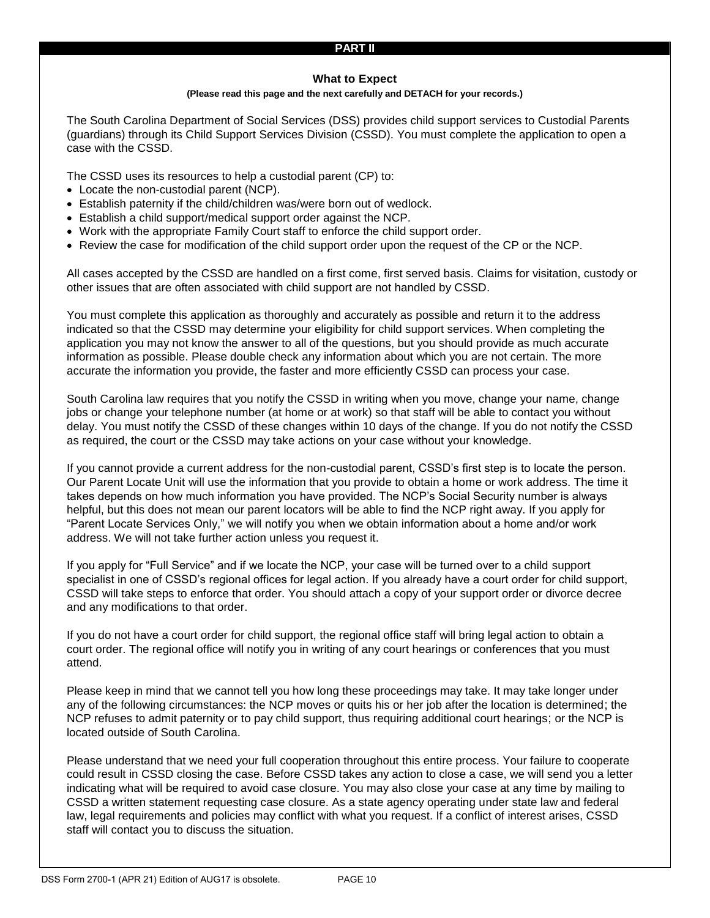### **PART II**

#### **What to Expect**

#### **(Please read this page and the next carefully and DETACH for your records.)**

The South Carolina Department of Social Services (DSS) provides child support services to Custodial Parents (guardians) through its Child Support Services Division (CSSD). You must complete the application to open a case with the CSSD.

The CSSD uses its resources to help a custodial parent (CP) to:

- Locate the non-custodial parent (NCP).
- Establish paternity if the child/children was/were born out of wedlock.
- Establish a child support/medical support order against the NCP.
- Work with the appropriate Family Court staff to enforce the child support order.
- Review the case for modification of the child support order upon the request of the CP or the NCP.

All cases accepted by the CSSD are handled on a first come, first served basis. Claims for visitation, custody or other issues that are often associated with child support are not handled by CSSD.

You must complete this application as thoroughly and accurately as possible and return it to the address indicated so that the CSSD may determine your eligibility for child support services. When completing the application you may not know the answer to all of the questions, but you should provide as much accurate information as possible. Please double check any information about which you are not certain. The more accurate the information you provide, the faster and more efficiently CSSD can process your case.

South Carolina law requires that you notify the CSSD in writing when you move, change your name, change jobs or change your telephone number (at home or at work) so that staff will be able to contact you without delay. You must notify the CSSD of these changes within 10 days of the change. If you do not notify the CSSD as required, the court or the CSSD may take actions on your case without your knowledge.

If you cannot provide a current address for the non-custodial parent, CSSD's first step is to locate the person. Our Parent Locate Unit will use the information that you provide to obtain a home or work address. The time it takes depends on how much information you have provided. The NCP's Social Security number is always helpful, but this does not mean our parent locators will be able to find the NCP right away. If you apply for "Parent Locate Services Only," we will notify you when we obtain information about a home and/or work address. We will not take further action unless you request it.

If you apply for "Full Service" and if we locate the NCP, your case will be turned over to a child support specialist in one of CSSD's regional offices for legal action. If you already have a court order for child support, CSSD will take steps to enforce that order. You should attach a copy of your support order or divorce decree and any modifications to that order.

If you do not have a court order for child support, the regional office staff will bring legal action to obtain a court order. The regional office will notify you in writing of any court hearings or conferences that you must attend.

Please keep in mind that we cannot tell you how long these proceedings may take. It may take longer under any of the following circumstances: the NCP moves or quits his or her job after the location is determined; the NCP refuses to admit paternity or to pay child support, thus requiring additional court hearings; or the NCP is located outside of South Carolina.

Please understand that we need your full cooperation throughout this entire process. Your failure to cooperate could result in CSSD closing the case. Before CSSD takes any action to close a case, we will send you a letter indicating what will be required to avoid case closure. You may also close your case at any time by mailing to CSSD a written statement requesting case closure. As a state agency operating under state law and federal law, legal requirements and policies may conflict with what you request. If a conflict of interest arises, CSSD staff will contact you to discuss the situation.